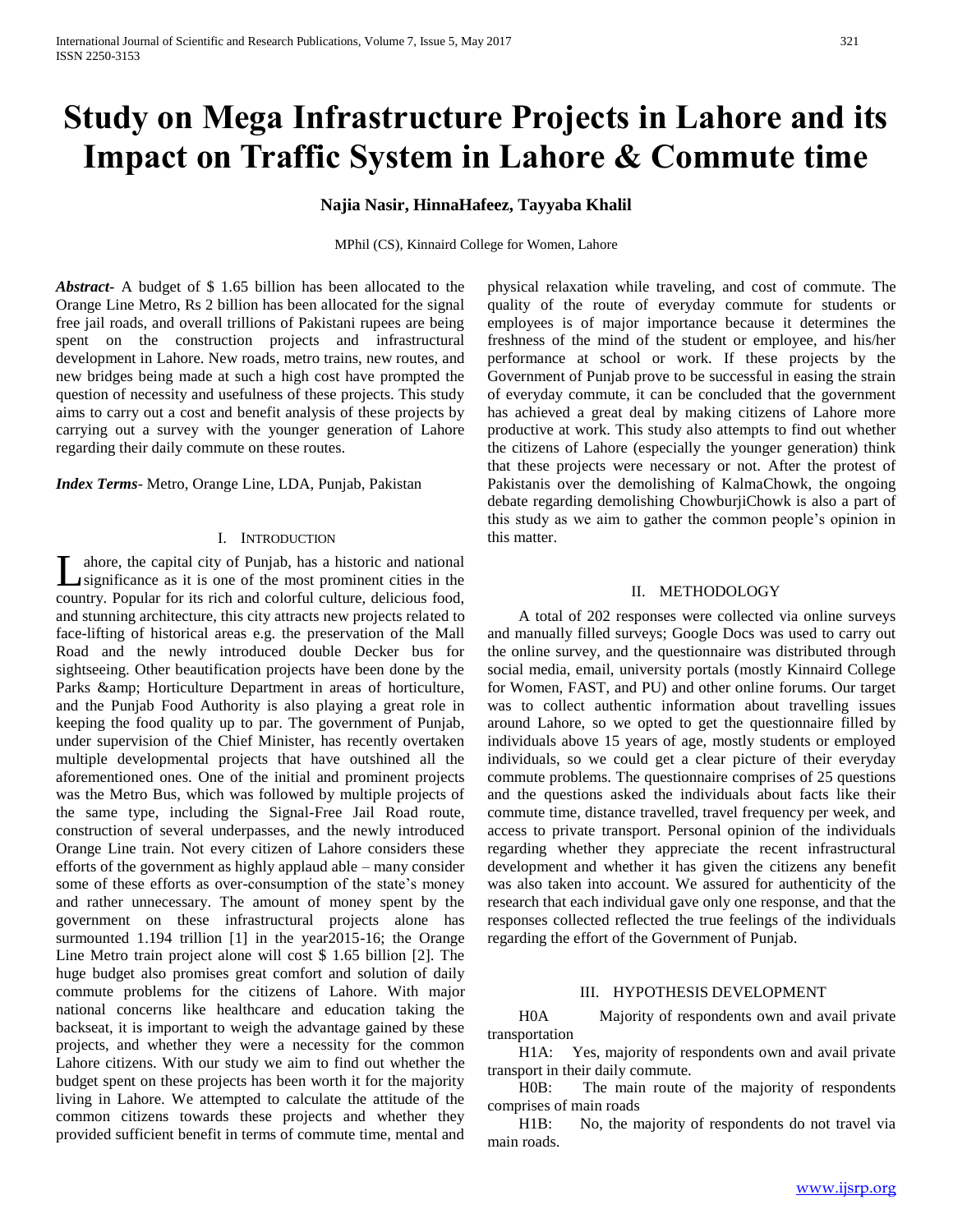# **Study on Mega Infrastructure Projects in Lahore and its Impact on Traffic System in Lahore & Commute time**

# **Najia Nasir, HinnaHafeez, Tayyaba Khalil**

MPhil (CS), Kinnaird College for Women, Lahore

*Abstract***-** A budget of \$ 1.65 billion has been allocated to the Orange Line Metro, Rs 2 billion has been allocated for the signal free jail roads, and overall trillions of Pakistani rupees are being spent on the construction projects and infrastructural development in Lahore. New roads, metro trains, new routes, and new bridges being made at such a high cost have prompted the question of necessity and usefulness of these projects. This study aims to carry out a cost and benefit analysis of these projects by carrying out a survey with the younger generation of Lahore regarding their daily commute on these routes.

*Index Terms*- Metro, Orange Line, LDA, Punjab, Pakistan

# I. INTRODUCTION

ahore, the capital city of Punjab, has a historic and national significance as it is one of the most prominent cities in the Let a a historic and national significance as it is one of the most prominent cities in the country. Popular for its rich and colorful culture, delicious food, and stunning architecture, this city attracts new projects related to face-lifting of historical areas e.g. the preservation of the Mall Road and the newly introduced double Decker bus for sightseeing. Other beautification projects have been done by the Parks & amp; Horticulture Department in areas of horticulture, and the Punjab Food Authority is also playing a great role in keeping the food quality up to par. The government of Punjab, under supervision of the Chief Minister, has recently overtaken multiple developmental projects that have outshined all the aforementioned ones. One of the initial and prominent projects was the Metro Bus, which was followed by multiple projects of the same type, including the Signal-Free Jail Road route, construction of several underpasses, and the newly introduced Orange Line train. Not every citizen of Lahore considers these efforts of the government as highly applaud able – many consider some of these efforts as over-consumption of the state's money and rather unnecessary. The amount of money spent by the government on these infrastructural projects alone has surmounted 1.194 trillion [1] in the year 2015-16; the Orange Line Metro train project alone will cost \$ 1.65 billion [2]. The huge budget also promises great comfort and solution of daily commute problems for the citizens of Lahore. With major national concerns like healthcare and education taking the backseat, it is important to weigh the advantage gained by these projects, and whether they were a necessity for the common Lahore citizens. With our study we aim to find out whether the budget spent on these projects has been worth it for the majority living in Lahore. We attempted to calculate the attitude of the common citizens towards these projects and whether they provided sufficient benefit in terms of commute time, mental and

physical relaxation while traveling, and cost of commute. The quality of the route of everyday commute for students or employees is of major importance because it determines the freshness of the mind of the student or employee, and his/her performance at school or work. If these projects by the Government of Punjab prove to be successful in easing the strain of everyday commute, it can be concluded that the government has achieved a great deal by making citizens of Lahore more productive at work. This study also attempts to find out whether the citizens of Lahore (especially the younger generation) think that these projects were necessary or not. After the protest of Pakistanis over the demolishing of KalmaChowk, the ongoing debate regarding demolishing ChowburjiChowk is also a part of this study as we aim to gather the common people's opinion in this matter.

## II. METHODOLOGY

 A total of 202 responses were collected via online surveys and manually filled surveys; Google Docs was used to carry out the online survey, and the questionnaire was distributed through social media, email, university portals (mostly Kinnaird College for Women, FAST, and PU) and other online forums. Our target was to collect authentic information about travelling issues around Lahore, so we opted to get the questionnaire filled by individuals above 15 years of age, mostly students or employed individuals, so we could get a clear picture of their everyday commute problems. The questionnaire comprises of 25 questions and the questions asked the individuals about facts like their commute time, distance travelled, travel frequency per week, and access to private transport. Personal opinion of the individuals regarding whether they appreciate the recent infrastructural development and whether it has given the citizens any benefit was also taken into account. We assured for authenticity of the research that each individual gave only one response, and that the responses collected reflected the true feelings of the individuals regarding the effort of the Government of Punjab.

## III. HYPOTHESIS DEVELOPMENT

 H0A Majority of respondents own and avail private transportation

 H1A: Yes, majority of respondents own and avail private transport in their daily commute.

 H0B: The main route of the majority of respondents comprises of main roads

 H1B: No, the majority of respondents do not travel via main roads.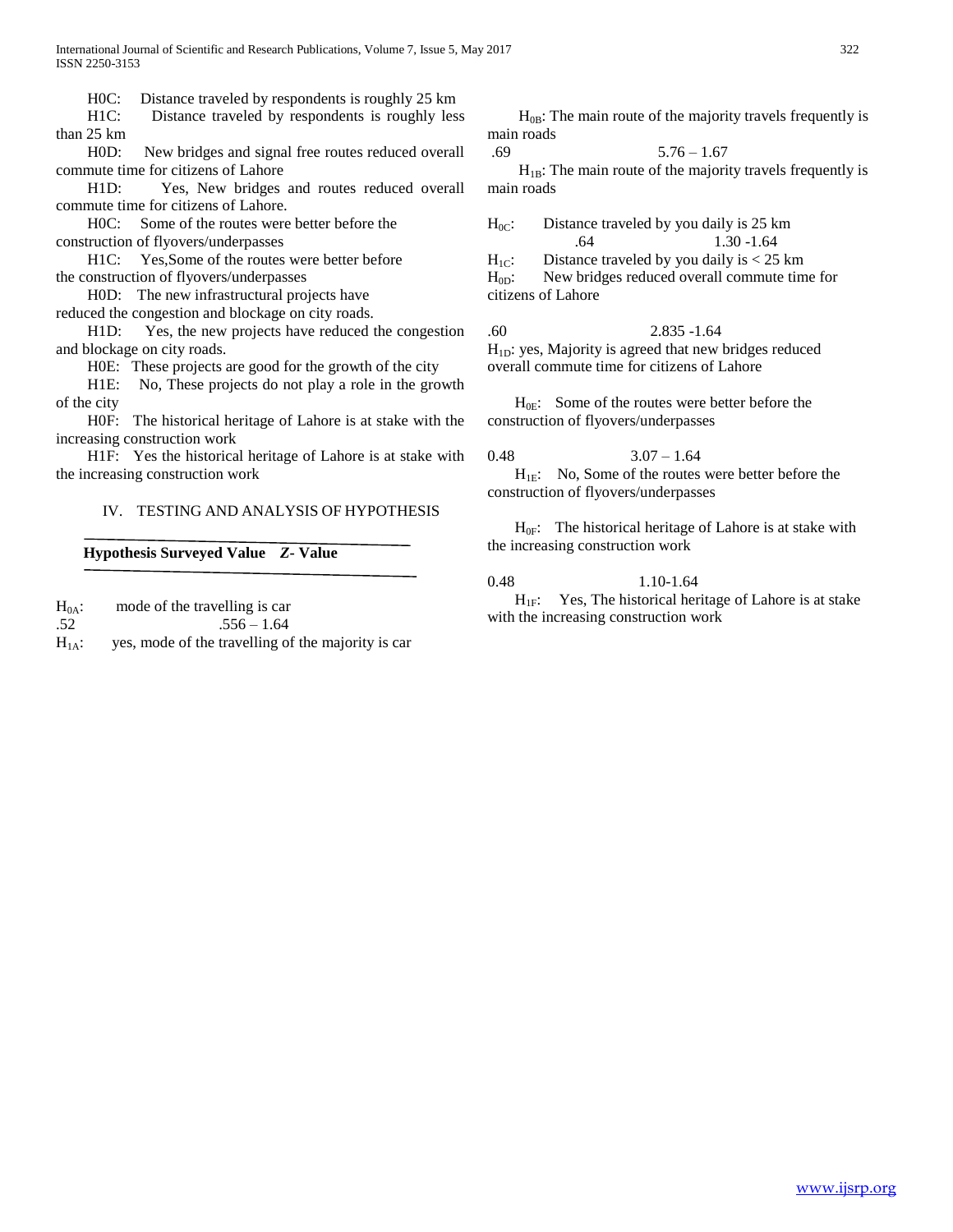International Journal of Scientific and Research Publications, Volume 7, Issue 5, May 2017 322 ISSN 2250-3153

H0C: Distance traveled by respondents is roughly 25 km

 H1C: Distance traveled by respondents is roughly less than 25 km

 H0D: New bridges and signal free routes reduced overall commute time for citizens of Lahore

 H1D: Yes, New bridges and routes reduced overall commute time for citizens of Lahore.

H0C: Some of the routes were better before the

construction of flyovers/underpasses

 H1C: Yes,Some of the routes were better before the construction of flyovers/underpasses

H0D: The new infrastructural projects have

reduced the congestion and blockage on city roads.

 H1D: Yes, the new projects have reduced the congestion and blockage on city roads.

H0E: These projects are good for the growth of the city

 H1E: No, These projects do not play a role in the growth of the city

 H0F: The historical heritage of Lahore is at stake with the increasing construction work

 H1F: Yes the historical heritage of Lahore is at stake with the increasing construction work

## IV. TESTING AND ANALYSIS OF HYPOTHESIS

#### **Hypothesis Surveyed Value** *Z***- Value**

 $H_{0A}$ : mode of the travelling is car  $.52$  .556 – 1.64  $H<sub>1A</sub>$ : yes, mode of the travelling of the majority is car

 $H<sub>0B</sub>$ : The main route of the majority travels frequently is main roads

 $.69$   $5.76 - 1.67$  $H_{1B}$ : The main route of the majority travels frequently is main roads

 $H_{0C}$ : Distance traveled by you daily is 25 km .64 1.30 -1.64

 $H_{1C}$ : Distance traveled by you daily is < 25 km H<sub>0D</sub>: New bridges reduced overall commute time for citizens of Lahore

.60 2.835 -1.64 H<sub>1D</sub>: yes, Majority is agreed that new bridges reduced overall commute time for citizens of Lahore

 $H_{0E}$ : Some of the routes were better before the construction of flyovers/underpasses

0.48  $3.07 - 1.64$  $H_{1E}$ : No, Some of the routes were better before the construction of flyovers/underpasses

 $H_{0F}$ : The historical heritage of Lahore is at stake with the increasing construction work

0.48 1.10-1.64

 $H_{1F}$ : Yes, The historical heritage of Lahore is at stake with the increasing construction work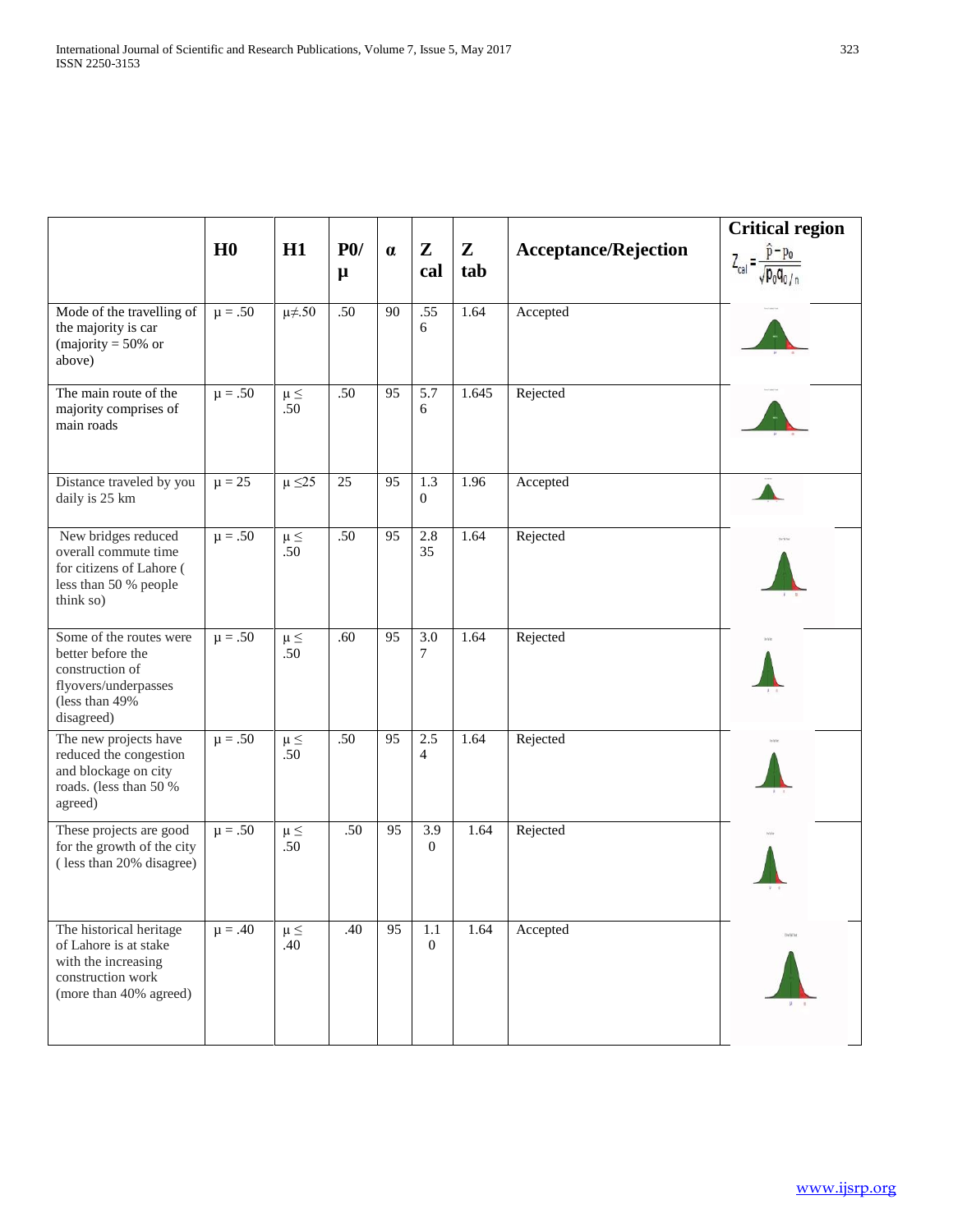|                                                                                                                         |                |                   |                     |                 |                            |                     |                             | <b>Critical region</b> |
|-------------------------------------------------------------------------------------------------------------------------|----------------|-------------------|---------------------|-----------------|----------------------------|---------------------|-----------------------------|------------------------|
|                                                                                                                         | H <sub>0</sub> | H1                | P <sub>0</sub><br>μ | $\alpha$        | ${\bf Z}$<br>cal           | $\mathbf{Z}$<br>tab | <b>Acceptance/Rejection</b> |                        |
| Mode of the travelling of<br>the majority is car<br>(majority = $50\%$ or<br>above)                                     | $\mu = .50$    | $\mu\neq 50$      | .50                 | 90              | .55<br>6                   | 1.64                | Accepted                    |                        |
| The main route of the<br>majority comprises of<br>main roads                                                            | $\mu = .50$    | $\mu \leq$<br>.50 | .50                 | 95              | 5.7<br>6                   | 1.645               | Rejected                    |                        |
| Distance traveled by you<br>daily is 25 km                                                                              | $\mu = 25$     | $\mu \leq 25$     | 25                  | 95              | 1.3<br>$\overline{0}$      | 1.96                | Accepted                    |                        |
| New bridges reduced<br>overall commute time<br>for citizens of Lahore (<br>less than 50 % people<br>think so)           | $\mu = .50$    | $\mu \leq$<br>.50 | .50                 | 95              | 2.8<br>35                  | 1.64                | Rejected                    |                        |
| Some of the routes were<br>better before the<br>construction of<br>flyovers/underpasses<br>(less than 49%<br>disagreed) | $\mu = .50$    | $\mu \leq$<br>.50 | .60                 | 95              | $\overline{3.0}$<br>$\tau$ | 1.64                | Rejected                    |                        |
| The new projects have<br>reduced the congestion<br>and blockage on city<br>roads. (less than 50 %<br>agreed)            | $\mu = .50$    | $\mu \leq$<br>.50 | .50                 | $\overline{95}$ | 2.5<br>$\overline{4}$      | 1.64                | Rejected                    |                        |
| These projects are good<br>for the growth of the city<br>(less than 20% disagree)                                       | $\mu = .50$    | $\mu \leq$<br>.50 | .50                 | 95              | 3.9<br>$\Omega$            | 1.64                | Rejected                    |                        |
| The historical heritage<br>of Lahore is at stake<br>with the increasing<br>construction work<br>(more than 40% agreed)  | $\mu = .40$    | $\mu \leq$<br>.40 | .40                 | 95              | 1.1<br>$\overline{0}$      | 1.64                | Accepted                    | DVRM                   |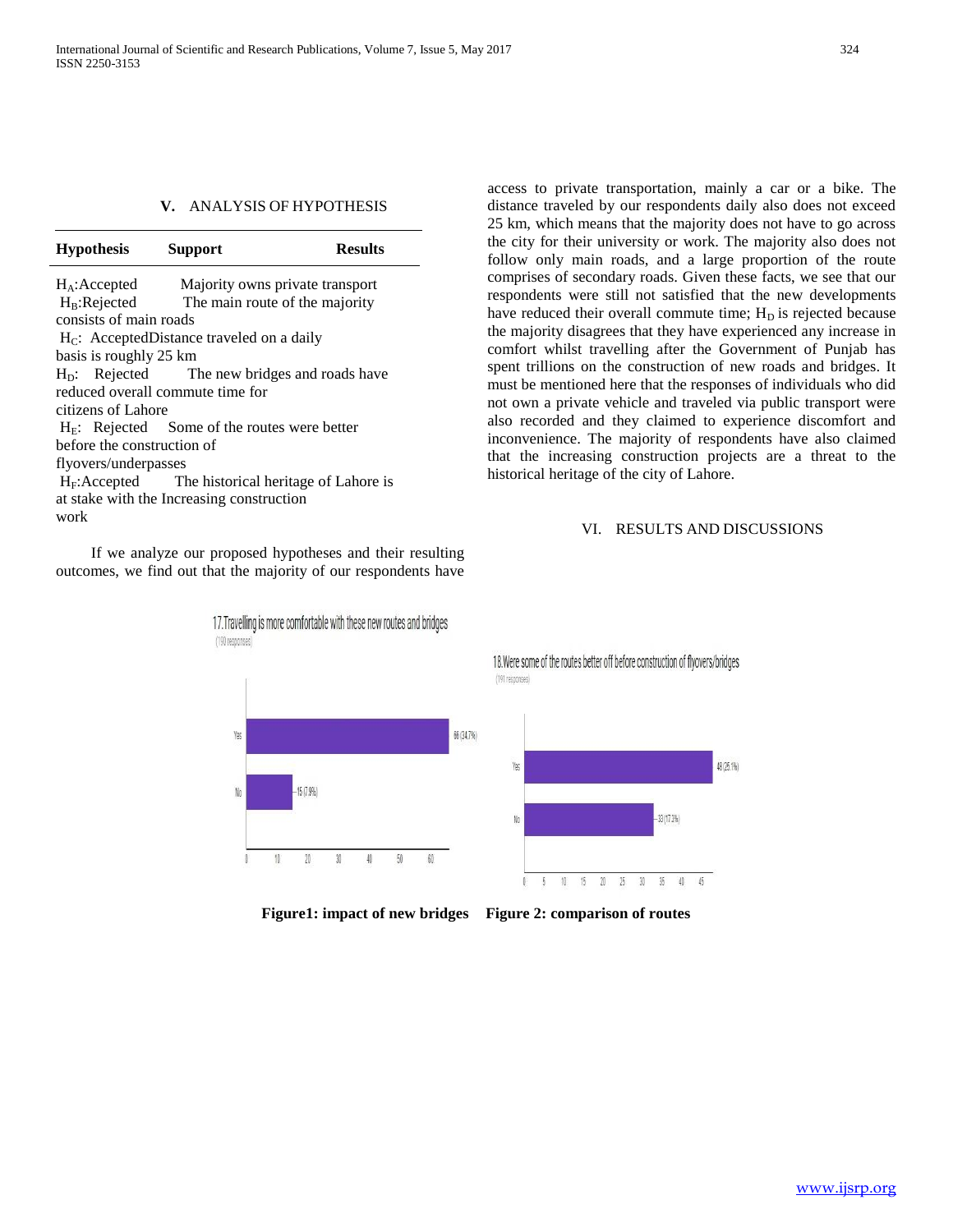# **V.** ANALYSIS OF HYPOTHESIS

| <b>Hypothesis</b>          | <b>Support</b>                                 | <b>Results</b>                                        |  |  |  |  |  |
|----------------------------|------------------------------------------------|-------------------------------------------------------|--|--|--|--|--|
| $H_A$ : Accepted           |                                                | Majority owns private transport                       |  |  |  |  |  |
|                            |                                                | $H_B$ : Rejected The main route of the majority       |  |  |  |  |  |
| consists of main roads     |                                                |                                                       |  |  |  |  |  |
|                            | $H_C$ : AcceptedDistance traveled on a daily   |                                                       |  |  |  |  |  |
| basis is roughly 25 km     |                                                |                                                       |  |  |  |  |  |
|                            |                                                | $HD$ : Rejected The new bridges and roads have        |  |  |  |  |  |
|                            | reduced overall commute time for               |                                                       |  |  |  |  |  |
| citizens of Lahore         |                                                |                                                       |  |  |  |  |  |
|                            | $HE$ : Rejected Some of the routes were better |                                                       |  |  |  |  |  |
| before the construction of |                                                |                                                       |  |  |  |  |  |
| flyovers/underpasses       |                                                |                                                       |  |  |  |  |  |
|                            |                                                | $H_F$ : Accepted The historical heritage of Lahore is |  |  |  |  |  |
|                            | at stake with the Increasing construction      |                                                       |  |  |  |  |  |
| work                       |                                                |                                                       |  |  |  |  |  |

 If we analyze our proposed hypotheses and their resulting outcomes, we find out that the majority of our respondents have



#### VI. RESULTS AND DISCUSSIONS



**Figure1: impact of new bridges Figure 2: comparison of routes**

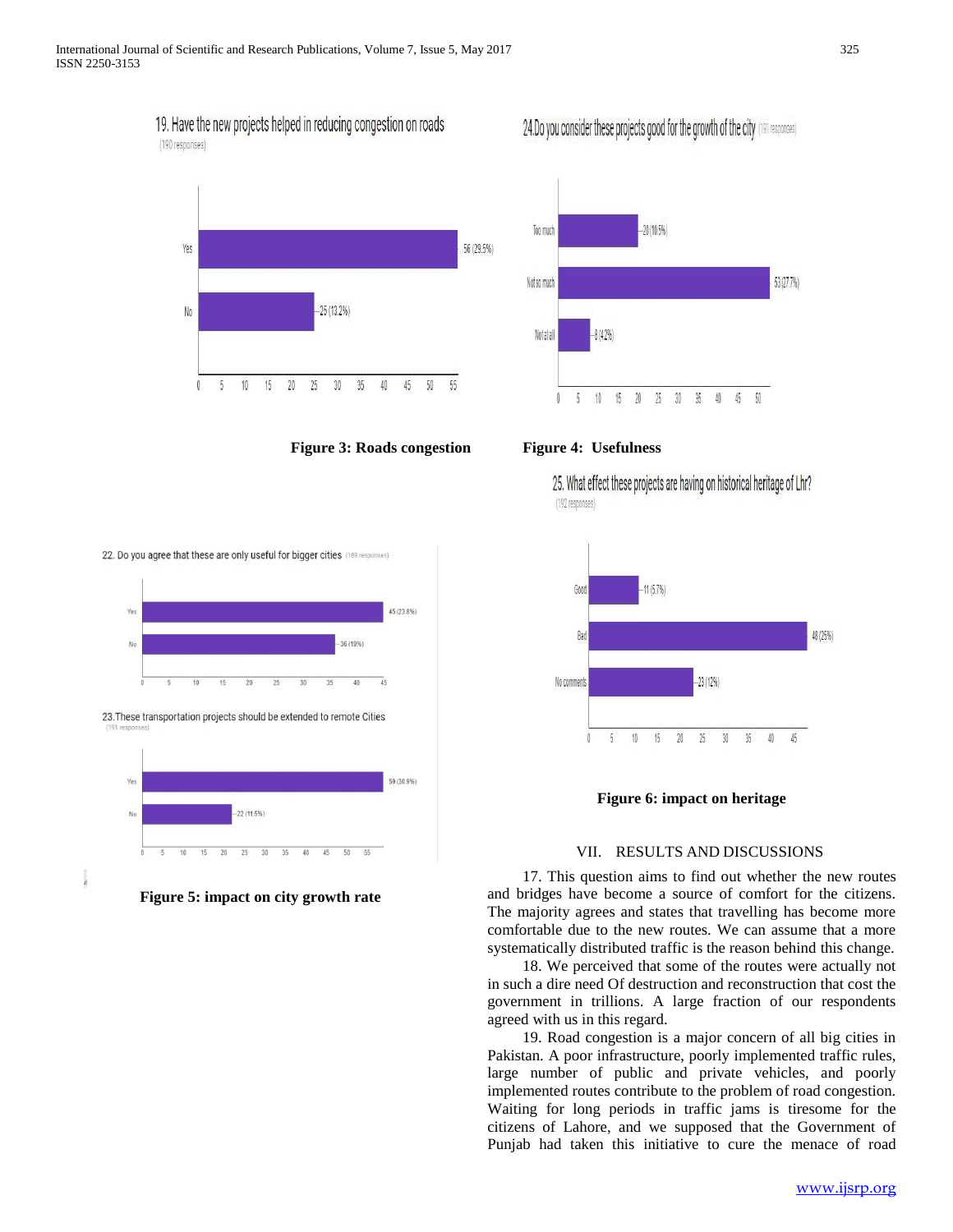19. Have the new projects helped in reducing congestion on roads (190 responses)



**Figure 3: Roads congestion Figure 4: Usefulness**

22. Do you agree that these are only useful for bigger cities (189 responses)















25. What effect these projects are having on historical heritage of Lhr? (192 responses)



**Figure 6: impact on heritage**

### VII. RESULTS AND DISCUSSIONS

 17. This question aims to find out whether the new routes and bridges have become a source of comfort for the citizens. The majority agrees and states that travelling has become more comfortable due to the new routes. We can assume that a more systematically distributed traffic is the reason behind this change.

 18. We perceived that some of the routes were actually not in such a dire need Of destruction and reconstruction that cost the government in trillions. A large fraction of our respondents agreed with us in this regard.

 19. Road congestion is a major concern of all big cities in Pakistan. A poor infrastructure, poorly implemented traffic rules, large number of public and private vehicles, and poorly implemented routes contribute to the problem of road congestion. Waiting for long periods in traffic jams is tiresome for the citizens of Lahore, and we supposed that the Government of Punjab had taken this initiative to cure the menace of road